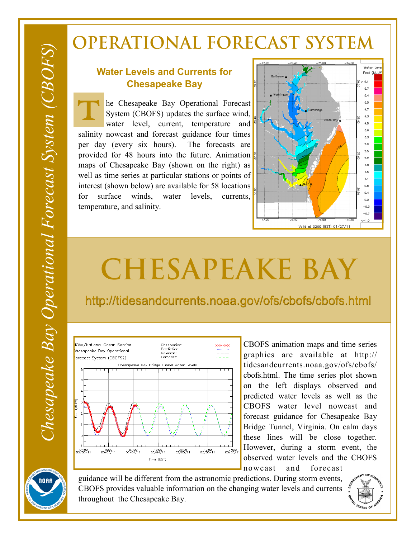## **OPERATIONAL FORECAST SYSTEM**

## **Water Levels and Currents for Chesapeake Bay**

he Chesapeake Bay Operational Forecast System (CBOFS) updates the surface wind, water level, current, temperature and salinity nowcast and forecast guidance four times per day (every six hours). The forecasts are provided for 48 hours into the future. Animation maps of Chesapeake Bay (shown on the right) as well as time series at particular stations or points of interest (shown below) are available for 58 locations for surface winds, water levels, currents, temperature, and salinity. T!



## **CHESAPEAKE BAY**

http://tidesandcurrents.noaa.gov/ofs/cbofs/cbofs.html



CBOFS animation maps and time series graphics are available at http:// tidesandcurrents.noaa.gov/ofs/cbofs/ cbofs.html. The time series plot shown on the left displays observed and predicted water levels as well as the CBOFS water level nowcast and forecast guidance for Chesapeake Bay Bridge Tunnel, Virginia. On calm days these lines will be close together. However, during a storm event, the observed water levels and the CBOFS nowcast and forecast



guidance will be different from the astronomic predictions. During storm events, CBOFS provides valuable information on the changing water levels and currents throughout the Chesapeake Bay.